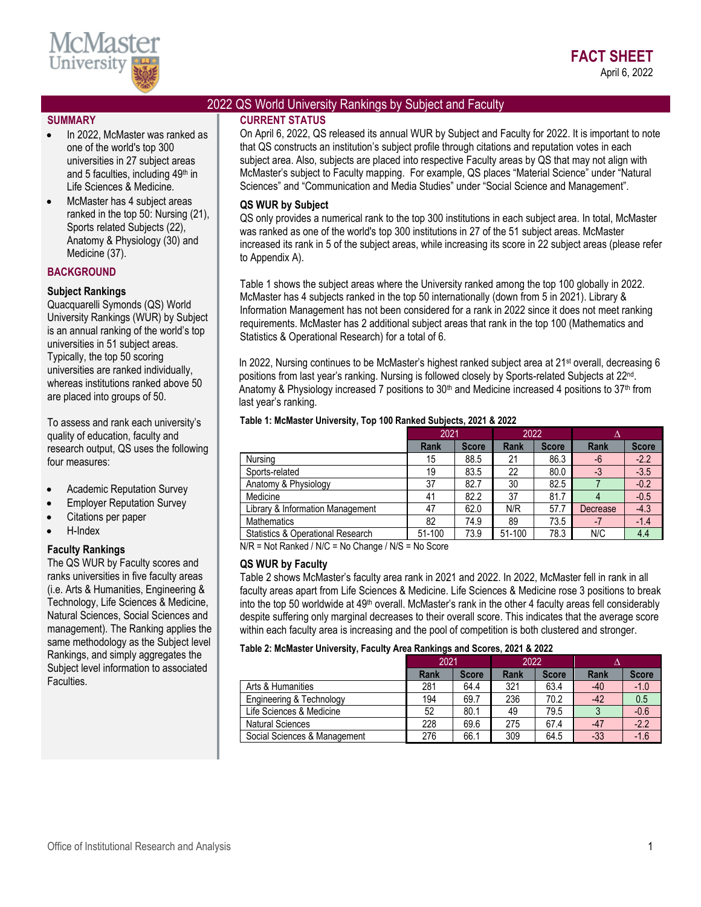

## 2022 QS World University Rankings by Subject and Faculty

#### **SUMMARY**

- In 2022, McMaster was ranked as one of the world's top 300 universities in 27 subject areas and 5 faculties, including 49<sup>th</sup> in Life Sciences & Medicine.
- McMaster has 4 subject areas ranked in the top 50: Nursing (21), Sports related Subjects (22), Anatomy & Physiology (30) and Medicine (37).

## **BACKGROUND**

## **Subject Rankings**

Quacquarelli Symonds (QS) World University Rankings (WUR) by Subject is an annual ranking of the world's top universities in 51 subject areas. Typically, the top 50 scoring universities are ranked individually, whereas institutions ranked above 50 are placed into groups of 50.

To assess and rank each university's quality of education, faculty and research output, QS uses the following four measures:

- Academic Reputation Survey
- Employer Reputation Survey
- Citations per paper
- H-Index

### **Faculty Rankings**

The QS WUR by Faculty scores and ranks universities in five faculty areas (i.e. Arts & Humanities, Engineering & Technology, Life Sciences & Medicine, Natural Sciences, Social Sciences and management). The Ranking applies the same methodology as the [Subject](http://www.iu.qs.com/university-rankings/subject-tables/) level Rankings, and simply aggregates the Subject level information to associated Faculties.

**CURRENT STATUS** On April 6, 2022, QS released its annual WUR by Subject and Faculty for 2022. It is important to note that QS constructs an institution's subject profile through citations and reputation votes in each subject area. Also, subjects are placed into respective Faculty areas by QS that may not align with McMaster's subject to Faculty mapping. For example, QS places "Material Science" under "Natural Sciences" and "Communication and Media Studies" under "Social Science and Management".

## **QS WUR by Subject**

QS only provides a numerical rank to the top 300 institutions in each subject area. In total, McMaster was ranked as one of the world's top 300 institutions in 27 of the 51 subject areas. McMaster increased its rank in 5 of the subject areas, while increasing its score in 22 subject areas (please refer to Appendix A).

Table 1 shows the subject areas where the University ranked among the top 100 globally in 2022. McMaster has 4 subjects ranked in the top 50 internationally (down from 5 in 2021). Library & Information Management has not been considered for a rank in 2022 since it does not meet ranking requirements. McMaster has 2 additional subject areas that rank in the top 100 (Mathematics and Statistics & Operational Research) for a total of 6.

In 2022, Nursing continues to be McMaster's highest ranked subject area at 21<sup>st</sup> overall, decreasing 6 positions from last year's ranking. Nursing is followed closely by Sports-related Subjects at 22<sup>nd</sup>. Anatomy & Physiology increased 7 positions to  $30<sup>th</sup>$  and Medicine increased 4 positions to  $37<sup>th</sup>$  from last year's ranking.

| Table 1: McMaster University, Top 100 Ranked Subjects, 2021 & 2022 |      |  |                                                 |  |  |  |  |  |  |
|--------------------------------------------------------------------|------|--|-------------------------------------------------|--|--|--|--|--|--|
|                                                                    | 2021 |  | 2022                                            |  |  |  |  |  |  |
|                                                                    |      |  | <b>During District During District District</b> |  |  |  |  |  |  |

|                                              | ZUZ I  |              | ZUZZ        |              |             |              |
|----------------------------------------------|--------|--------------|-------------|--------------|-------------|--------------|
|                                              | Rank   | <b>Score</b> | <b>Rank</b> | <b>Score</b> | <b>Rank</b> | <b>Score</b> |
| Nursing                                      | 15     | 88.5         | 21          | 86.3         | $-6$        | $-2.2$       |
| Sports-related                               | 19     | 83.5         | 22          | 80.0         | $-3$        | $-3.5$       |
| Anatomy & Physiology                         | 37     | 82.7         | 30          | 82.5         |             | $-0.2$       |
| Medicine                                     | 41     | 82.2         | 37          | 81.7         |             | $-0.5$       |
| Library & Information Management             | 47     | 62.0         | N/R         | 57.7         | Decrease    | $-4.3$       |
| <b>Mathematics</b>                           | 82     | 74.9         | 89          | 73.5         |             | $-1.4$       |
| <b>Statistics &amp; Operational Research</b> | 51-100 | 73.9         | 51-100      | 78.3         | N/C         | 4.4          |

N/R = Not Ranked / N/C = No Change / N/S = No Score

### **QS WUR by Faculty**

Table 2 shows McMaster's faculty area rank in 2021 and 2022. In 2022, McMaster fell in rank in all faculty areas apart from Life Sciences & Medicine. Life Sciences & Medicine rose 3 positions to break into the top 50 worldwide at 49<sup>th</sup> overall. McMaster's rank in the other 4 faculty areas fell considerably despite suffering only marginal decreases to their overall score. This indicates that the average score within each faculty area is increasing and the pool of competition is both clustered and stronger.

#### **Table 2: McMaster University, Faculty Area Rankings and Scores, 2021 & 2022**

|                              | 2021        |              | 2022        |              |             |              |
|------------------------------|-------------|--------------|-------------|--------------|-------------|--------------|
|                              | <b>Rank</b> | <b>Score</b> | <b>Rank</b> | <b>Score</b> | <b>Rank</b> | <b>Score</b> |
| Arts & Humanities            | 281         | 64.4         | 321         | 63.4         | $-40$       | $-1.0$       |
| Engineering & Technology     | 194         | 69.7         | 236         | 70.2         | $-42$       | 0.5          |
| Life Sciences & Medicine     | 52          | 80.1         | 49          | 79.5         |             | $-0.6$       |
| <b>Natural Sciences</b>      | 228         | 69.6         | 275         | 67.4         | $-47$       | $-2.2$       |
| Social Sciences & Management | 276         | 66.1         | 309         | 64.5         | $-33$       | $-1.6$       |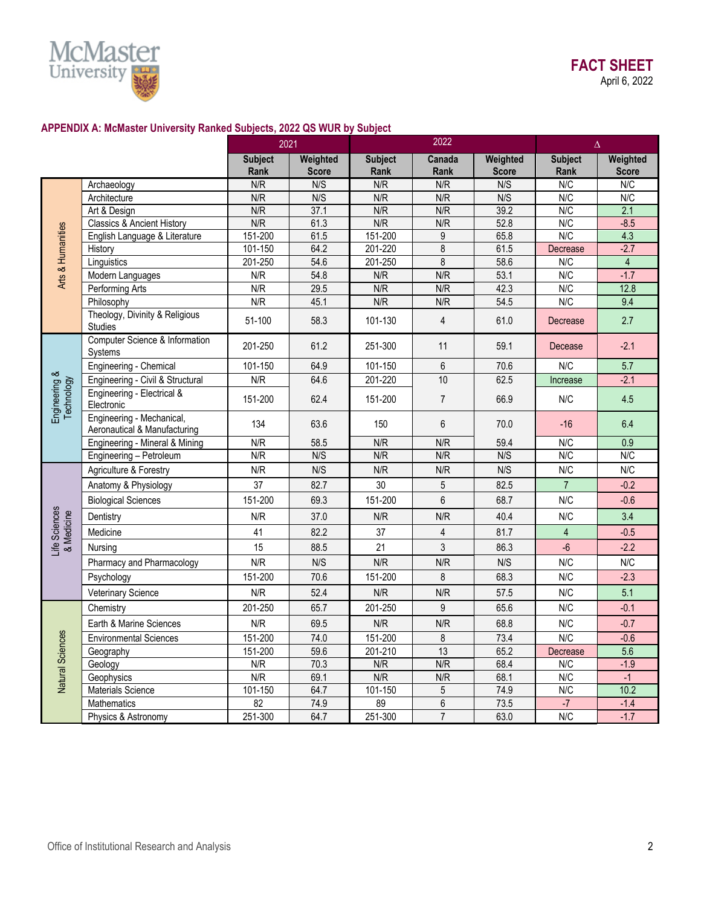

# **APPENDIX A: McMaster University Ranked Subjects, 2022 QS WUR by Subject**

|                             |                                                           | 2021                   |                          | 2022                   |                |                          | $\Delta$               |                          |  |
|-----------------------------|-----------------------------------------------------------|------------------------|--------------------------|------------------------|----------------|--------------------------|------------------------|--------------------------|--|
|                             |                                                           | <b>Subject</b><br>Rank | Weighted<br><b>Score</b> | <b>Subject</b><br>Rank | Canada<br>Rank | Weighted<br><b>Score</b> | <b>Subject</b><br>Rank | Weighted<br><b>Score</b> |  |
|                             | Archaeology                                               | N/R                    | N/S                      | N/R                    | N/R            | N/S                      | N/C                    | N/C                      |  |
|                             | Architecture                                              | N/R                    | N/S                      | N/R                    | N/R            | N/S                      | N/C                    | N/C                      |  |
|                             | Art & Design                                              | N/R                    | 37.1                     | N/R                    | N/R            | 39.2                     | N/C                    | 2.1                      |  |
|                             | <b>Classics &amp; Ancient History</b>                     | N/R                    | 61.3                     | N/R                    | N/R            | 52.8                     | N/C                    | $-8.5$                   |  |
|                             | English Language & Literature                             | 151-200                | 61.5                     | 151-200                | $9\,$          | 65.8                     | N/C                    | 4.3                      |  |
| Arts & Humanities           | History                                                   | 101-150                | 64.2                     | 201-220                | 8              | 61.5                     | Decrease               | $-2.7$                   |  |
|                             | Linguistics                                               | 201-250                | 54.6                     | 201-250                | 8              | 58.6                     | N/C                    | $\overline{4}$           |  |
|                             | Modern Languages                                          | N/R                    | 54.8                     | N/R                    | N/R            | 53.1                     | N/C                    | $-1.7$                   |  |
|                             | Performing Arts                                           | N/R<br>N/R             | 29.5<br>45.1             | N/R<br>N/R             | N/R<br>N/R     | 42.3<br>54.5             | N/C<br>N/C             | 12.8<br>9.4              |  |
|                             | Philosophy<br>Theology, Divinity & Religious<br>Studies   | 51-100                 | 58.3                     | 101-130                | $\overline{4}$ | 61.0                     | Decrease               | 2.7                      |  |
|                             | Computer Science & Information<br>Systems                 | 201-250                | 61.2                     | 251-300                | 11             | 59.1                     | Decease                | $-2.1$                   |  |
|                             | Engineering - Chemical                                    | 101-150                | 64.9                     | 101-150                | $6\phantom{1}$ | 70.6                     | N/C                    | 5.7                      |  |
|                             | Engineering - Civil & Structural                          | N/R                    | 64.6                     | 201-220                | 10             | 62.5                     | Increase               | $-2.1$                   |  |
| Engineering &<br>Technology | Engineering - Electrical &<br>Electronic                  | 151-200                | 62.4                     | 151-200                | $\overline{7}$ | 66.9                     | N/C                    | 4.5                      |  |
|                             | Engineering - Mechanical,<br>Aeronautical & Manufacturing | 134                    | 63.6                     | 150                    | 6              | 70.0                     | $-16$                  | 6.4                      |  |
|                             | Engineering - Mineral & Mining                            | N/R                    | 58.5                     | N/R                    | N/R            | 59.4                     | N/C                    | 0.9                      |  |
|                             | Engineering - Petroleum                                   | N/R                    | N/S                      | N/R                    | N/R            | N/S                      | N/C                    | N/C                      |  |
|                             | Agriculture & Forestry                                    | N/R                    | N/S                      | N/R                    | N/R            | N/S                      | N/C                    | N/C                      |  |
|                             | Anatomy & Physiology                                      | 37                     | 82.7                     | 30                     | 5              | 82.5                     | $\overline{7}$         | $-0.2$                   |  |
|                             | <b>Biological Sciences</b>                                | 151-200                | 69.3                     | 151-200                | $6\phantom{a}$ | 68.7                     | N/C                    | $-0.6$                   |  |
| Life Sciences<br>& Medicine | Dentistry                                                 | N/R                    | 37.0                     | N/R                    | N/R            | 40.4                     | N/C                    | 3.4                      |  |
|                             | Medicine                                                  | 41                     | 82.2                     | 37                     | $\overline{4}$ | 81.7                     | $\overline{4}$         | $-0.5$                   |  |
|                             | Nursina                                                   | 15                     | 88.5                     | 21                     | $\overline{3}$ | 86.3                     | $-6$                   | $-2.2$                   |  |
|                             | Pharmacy and Pharmacology                                 | N/R                    | N/S                      | N/R                    | N/R            | N/S                      | N/C                    | N/C                      |  |
|                             | Psychology                                                | 151-200                | 70.6                     | 151-200                | 8              | 68.3                     | N/C                    | $-2.3$                   |  |
|                             | Veterinary Science                                        | N/R                    | 52.4                     | N/R                    | N/R            | 57.5                     | N/C                    | 5.1                      |  |
|                             | Chemistry                                                 | 201-250                | 65.7                     | 201-250                | 9              | 65.6                     | N/C                    | $-0.1$                   |  |
| Natural Sciences            | Earth & Marine Sciences                                   | N/R                    | 69.5                     | N/R                    | N/R            | 68.8                     | N/C                    | $-0.7$                   |  |
|                             | <b>Environmental Sciences</b>                             | 151-200                | 74.0                     | 151-200                | 8              | 73.4                     | N/C                    | $-0.6$                   |  |
|                             | Geography                                                 | 151-200                | 59.6                     | 201-210                | 13             | 65.2                     | Decrease               | 5.6                      |  |
|                             | Geology                                                   | N/R                    | 70.3                     | N/R                    | N/R            | 68.4                     | N/C                    | $-1.9$                   |  |
|                             | Geophysics                                                | N/R                    | 69.1                     | N/R                    | N/R            | 68.1                     | N/C                    | $-1$                     |  |
|                             | Materials Science                                         | 101-150                | 64.7                     | 101-150                | $\overline{5}$ | 74.9                     | N/C                    | 10.2                     |  |
|                             | Mathematics                                               | 82                     | 74.9                     | 89                     | $\,6$          | 73.5                     | $-7$                   | $-1.4$                   |  |
|                             | Physics & Astronomy                                       | 251-300                | 64.7                     | 251-300                | $\overline{7}$ | 63.0                     | N/C                    | $-1.7$                   |  |